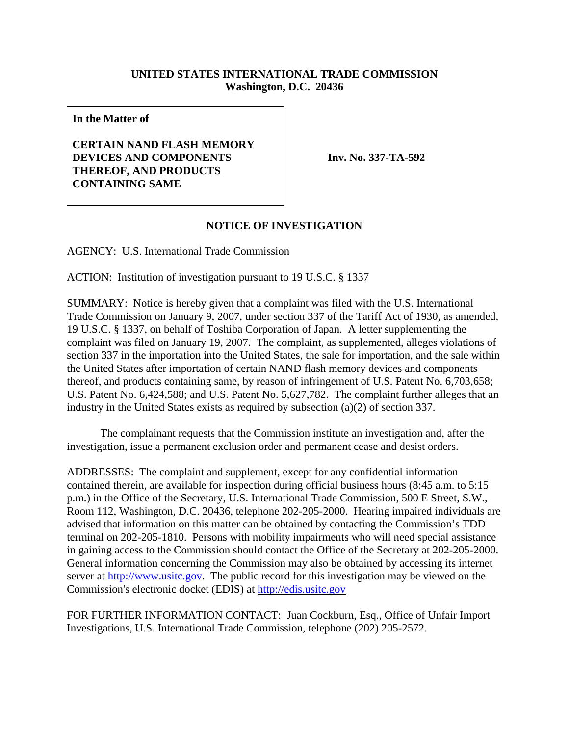## **UNITED STATES INTERNATIONAL TRADE COMMISSION Washington, D.C. 20436**

**In the Matter of**

## **CERTAIN NAND FLASH MEMORY DEVICES AND COMPONENTS THEREOF, AND PRODUCTS CONTAINING SAME**

**Inv. No. 337-TA-592**

## **NOTICE OF INVESTIGATION**

AGENCY: U.S. International Trade Commission

ACTION: Institution of investigation pursuant to 19 U.S.C. § 1337

SUMMARY: Notice is hereby given that a complaint was filed with the U.S. International Trade Commission on January 9, 2007, under section 337 of the Tariff Act of 1930, as amended, 19 U.S.C. § 1337, on behalf of Toshiba Corporation of Japan. A letter supplementing the complaint was filed on January 19, 2007. The complaint, as supplemented, alleges violations of section 337 in the importation into the United States, the sale for importation, and the sale within the United States after importation of certain NAND flash memory devices and components thereof, and products containing same, by reason of infringement of U.S. Patent No. 6,703,658; U.S. Patent No. 6,424,588; and U.S. Patent No. 5,627,782. The complaint further alleges that an industry in the United States exists as required by subsection (a)(2) of section 337.

The complainant requests that the Commission institute an investigation and, after the investigation, issue a permanent exclusion order and permanent cease and desist orders.

ADDRESSES: The complaint and supplement, except for any confidential information contained therein, are available for inspection during official business hours (8:45 a.m. to 5:15 p.m.) in the Office of the Secretary, U.S. International Trade Commission, 500 E Street, S.W., Room 112, Washington, D.C. 20436, telephone 202-205-2000. Hearing impaired individuals are advised that information on this matter can be obtained by contacting the Commission's TDD terminal on 202-205-1810. Persons with mobility impairments who will need special assistance in gaining access to the Commission should contact the Office of the Secretary at 202-205-2000. General information concerning the Commission may also be obtained by accessing its internet server at http://www.usitc.gov. The public record for this investigation may be viewed on the Commission's electronic docket (EDIS) at http://edis.usitc.gov

FOR FURTHER INFORMATION CONTACT: Juan Cockburn, Esq., Office of Unfair Import Investigations, U.S. International Trade Commission, telephone (202) 205-2572.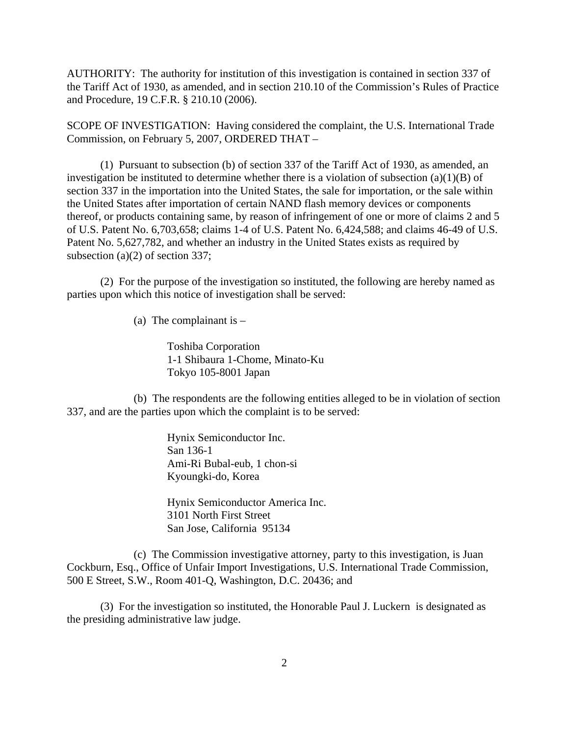AUTHORITY: The authority for institution of this investigation is contained in section 337 of the Tariff Act of 1930, as amended, and in section 210.10 of the Commission's Rules of Practice and Procedure, 19 C.F.R. § 210.10 (2006).

SCOPE OF INVESTIGATION: Having considered the complaint, the U.S. International Trade Commission, on February 5, 2007, ORDERED THAT –

(1) Pursuant to subsection (b) of section 337 of the Tariff Act of 1930, as amended, an investigation be instituted to determine whether there is a violation of subsection  $(a)(1)(B)$  of section 337 in the importation into the United States, the sale for importation, or the sale within the United States after importation of certain NAND flash memory devices or components thereof, or products containing same, by reason of infringement of one or more of claims 2 and 5 of U.S. Patent No. 6,703,658; claims 1-4 of U.S. Patent No. 6,424,588; and claims 46-49 of U.S. Patent No. 5,627,782, and whether an industry in the United States exists as required by subsection (a)(2) of section 337;

(2) For the purpose of the investigation so instituted, the following are hereby named as parties upon which this notice of investigation shall be served:

(a) The complainant is  $-$ 

Toshiba Corporation 1-1 Shibaura 1-Chome, Minato-Ku Tokyo 105-8001 Japan

(b) The respondents are the following entities alleged to be in violation of section 337, and are the parties upon which the complaint is to be served:

> Hynix Semiconductor Inc. San 136-1 Ami-Ri Bubal-eub, 1 chon-si Kyoungki-do, Korea

Hynix Semiconductor America Inc. 3101 North First Street San Jose, California 95134

(c) The Commission investigative attorney, party to this investigation, is Juan Cockburn, Esq., Office of Unfair Import Investigations, U.S. International Trade Commission, 500 E Street, S.W., Room 401-Q, Washington, D.C. 20436; and

(3) For the investigation so instituted, the Honorable Paul J. Luckern is designated as the presiding administrative law judge.